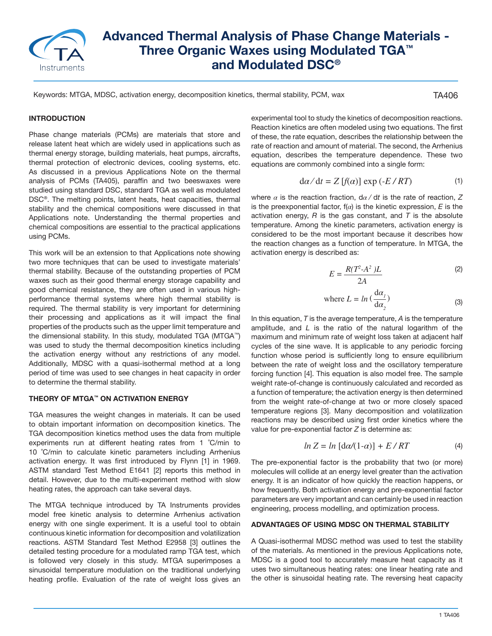

# **Advanced Thermal Analysis of Phase Change Materials - Three Organic Waxes using Modulated TGA™ and Modulated DSC®**

Keywords: MTGA, MDSC, activation energy, decomposition kinetics, thermal stability, PCM, wax

TA406

## **INTRODUCTION**

Phase change materials (PCMs) are materials that store and release latent heat which are widely used in applications such as thermal energy storage, building materials, heat pumps, aircrafts, thermal protection of electronic devices, cooling systems, etc. As discussed in a previous Applications Note on the thermal analysis of PCMs (TA405), paraffin and two beeswaxes were studied using standard DSC, standard TGA as well as modulated DSC®. The melting points, latent heats, heat capacities, thermal stability and the chemical compositions were discussed in that Applications note. Understanding the thermal properties and chemical compositions are essential to the practical applications using PCMs.

This work will be an extension to that Applications note showing two more techniques that can be used to investigate materials' thermal stability. Because of the outstanding properties of PCM waxes such as their good thermal energy storage capability and good chemical resistance, they are often used in various highperformance thermal systems where high thermal stability is required. The thermal stability is very important for determining their processing and applications as it will impact the final properties of the products such as the upper limit temperature and the dimensional stability. In this study, modulated TGA (MTGA™) was used to study the thermal decomposition kinetics including the activation energy without any restrictions of any model. Additionally, MDSC with a quasi-isothermal method at a long period of time was used to see changes in heat capacity in order to determine the thermal stability.

#### **THEORY OF MTGA™ ON ACTIVATION ENERGY**

TGA measures the weight changes in materials. It can be used to obtain important information on decomposition kinetics. The TGA decomposition kinetics method uses the data from multiple experiments run at different heating rates from 1 ˚C/min to 10 ˚C/min to calculate kinetic parameters including Arrhenius activation energy. It was first introduced by Flynn [1] in 1969. ASTM standard Test Method E1641 [2] reports this method in detail. However, due to the multi-experiment method with slow heating rates, the approach can take several days.

The MTGA technique introduced by TA Instruments provides model free kinetic analysis to determine Arrhenius activation energy with one single experiment. It is a useful tool to obtain continuous kinetic information for decomposition and volatilization reactions. ASTM Standard Test Method E2958 [3] outlines the detailed testing procedure for a modulated ramp TGA test, which is followed very closely in this study. MTGA superimposes a sinusoidal temperature modulation on the traditional underlying heating profile. Evaluation of the rate of weight loss gives an experimental tool to study the kinetics of decomposition reactions. Reaction kinetics are often modeled using two equations. The first of these, the rate equation, describes the relationship between the rate of reaction and amount of material. The second, the Arrhenius equation, describes the temperature dependence. These two equations are commonly combined into a single form:

$$
d\alpha/dt = Z[f(\alpha)] \exp(-E/RT)
$$
 (1)

where *α* is the reaction fraction, d*α* ⁄ d*t* is the rate of reaction, *Z* is the preexponential factor,  $f(\alpha)$  is the kinetic expression, *E* is the activation energy, *R* is the gas constant, and *T* is the absolute temperature. Among the kinetic parameters, activation energy is considered to be the most important because it describes how the reaction changes as a function of temperature. In MTGA, the activation energy is described as:

$$
E = \frac{R(T^2 - A^2)L}{2A}
$$
 (2)

where 
$$
L = ln\left(\frac{d\alpha_j}{d\alpha_2}\right)
$$
 (3)

In this equation, *T* is the average temperature, *A* is the temperature amplitude, and *L* is the ratio of the natural logarithm of the maximum and minimum rate of weight loss taken at adjacent half cycles of the sine wave. It is applicable to any periodic forcing function whose period is sufficiently long to ensure equilibrium between the rate of weight loss and the oscillatory temperature forcing function [4]. This equation is also model free. The sample weight rate-of-change is continuously calculated and recorded as a function of temperature; the activation energy is then determined from the weight rate-of-change at two or more closely spaced temperature regions [3]. Many decomposition and volatilization reactions may be described using first order kinetics where the value for pre-exponential factor *Z* is determine as:

$$
ln Z = ln [d\alpha/(1-\alpha)] + E/RT \tag{4}
$$

The pre-exponential factor is the probability that two (or more) molecules will collide at an energy level greater than the activation energy. It is an indicator of how quickly the reaction happens, or how frequently. Both activation energy and pre-exponential factor parameters are very important and can certainly be used in reaction engineering, process modelling, and optimization process.

## **ADVANTAGES OF USING MDSC ON THERMAL STABILITY**

A Quasi-isothermal MDSC method was used to test the stability of the materials. As mentioned in the previous Applications note, MDSC is a good tool to accurately measure heat capacity as it uses two simultaneous heating rates: one linear heating rate and the other is sinusoidal heating rate. The reversing heat capacity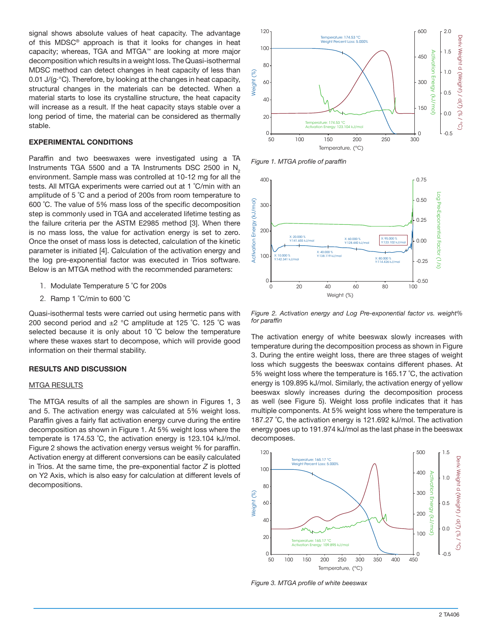signal shows absolute values of heat capacity. The advantage of this MDSC® approach is that it looks for changes in heat capacity; whereas, TGA and MTGA™ are looking at more major decomposition which results in a weight loss. The Quasi-isothermal MDSC method can detect changes in heat capacity of less than 0.01 J/(g·°C). Therefore, by looking at the changes in heat capacity, structural changes in the materials can be detected. When a material starts to lose its crystalline structure, the heat capacity will increase as a result. If the heat capacity stays stable over a long period of time, the material can be considered as thermally stable.

#### **EXPERIMENTAL CONDITIONS**

Paraffin and two beeswaxes were investigated using a TA Instruments TGA 5500 and a TA Instruments DSC 2500 in  $N<sub>2</sub>$ environment. Sample mass was controlled at 10-12 mg for all the tests. All MTGA experiments were carried out at 1 ˚C/min with an amplitude of 5 ˚C and a period of 200s from room temperature to 600 ˚C. The value of 5% mass loss of the specific decomposition step is commonly used in TGA and accelerated lifetime testing as the failure criteria per the ASTM E2985 method [3]. When there is no mass loss, the value for activation energy is set to zero. Once the onset of mass loss is detected, calculation of the kinetic parameter is initiated [4]. Calculation of the activation energy and the log pre-exponential factor was executed in Trios software. Below is an MTGA method with the recommended parameters:

- 1. Modulate Temperature 5 ˚C for 200s
- 2. Ramp 1 ˚C/min to 600 ˚C

Quasi-isothermal tests were carried out using hermetic pans with 200 second period and ±2 °C amplitude at 125 ˚C. 125 ˚C was selected because it is only about 10 °C below the temperature where these waxes start to decompose, which will provide good information on their thermal stability.

#### **RESULTS AND DISCUSSION**

#### MTGA RESULTS

The MTGA results of all the samples are shown in Figures 1, 3 and 5. The activation energy was calculated at 5% weight loss. Paraffin gives a fairly flat activation energy curve during the entire decomposition as shown in Figure 1. At 5% weight loss where the temperate is 174.53 ˚C, the activation energy is 123.104 kJ/mol. Figure 2 shows the activation energy versus weight % for paraffin. Activation energy at different conversions can be easily calculated in Trios. At the same time, the pre-exponential factor *Z* is plotted on Y2 Axis, which is also easy for calculation at different levels of decompositions.



*Figure 1. MTGA profile of paraffin*



*Figure 2. Activation energy and Log Pre-exponential factor vs. weight% for paraffin*

The activation energy of white beeswax slowly increases with temperature during the decomposition process as shown in Figure 3. During the entire weight loss, there are three stages of weight loss which suggests the beeswax contains different phases. At 5% weight loss where the temperature is 165.17 ˚C, the activation energy is 109.895 kJ/mol. Similarly, the activation energy of yellow beeswax slowly increases during the decomposition process as well (see Figure 5). Weight loss profile indicates that it has multiple components. At 5% weight loss where the temperature is 187.27 ˚C, the activation energy is 121.692 kJ/mol. The activation energy goes up to 191.974 kJ/mol as the last phase in the beeswax decomposes.



*Figure 3. MTGA profile of white beeswax*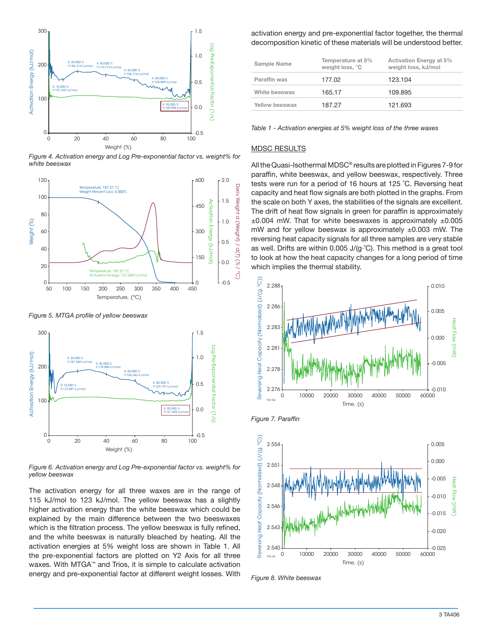

*Figure 4. Activation energy and Log Pre-exponential factor vs. weight% for white beeswax*



*Figure 5. MTGA profile of yellow beeswax*



*Figure 6. Activation energy and Log Pre-exponential factor vs. weight% for yellow beeswax* 

The activation energy for all three waxes are in the range of 115 kJ/mol to 123 kJ/mol. The yellow beeswax has a slightly higher activation energy than the white beeswax which could be explained by the main difference between the two beeswaxes which is the filtration process. The yellow beeswax is fully refined, and the white beeswax is naturally bleached by heating. All the activation energies at 5% weight loss are shown in Table 1. All the pre-exponential factors are plotted on Y2 Axis for all three waxes. With MTGA™ and Trios, it is simple to calculate activation energy and pre-exponential factor at different weight losses. With

activation energy and pre-exponential factor together, the thermal decomposition kinetic of these materials will be understood better.

| Sample Name    | Temperature at 5%<br>weight loss, °C | <b>Activation Energy at 5%</b><br>weight loss, kJ/mol |
|----------------|--------------------------------------|-------------------------------------------------------|
| Paraffin wax   | 177.02                               | 123.104                                               |
| White beeswax  | 165.17                               | 109.895                                               |
| Yellow beeswax | 187.27                               | 121.693                                               |
|                |                                      |                                                       |

*Table 1 - Activation energies at 5% weight loss of the three waxes*

## MDSC RESULTS

All the Quasi-Isothermal MDSC*®* results are plotted in Figures 7-9 for paraffin, white beeswax, and yellow beeswax, respectively. Three tests were run for a period of 16 hours at 125 ˚C. Reversing heat capacity and heat flow signals are both plotted in the graphs. From the scale on both Y axes, the stabilities of the signals are excellent. The drift of heat flow signals in green for paraffin is approximately  $\pm 0.004$  mW. That for white beeswaxes is approximately  $\pm 0.005$ mW and for yellow beeswax is approximately ±0.003 mW. The reversing heat capacity signals for all three samples are very stable as well. Drifts are within 0.005 J/(g·˚C). This method is a great tool to look at how the heat capacity changes for a long period of time which implies the thermal stability.



*Figure 7. Paraffin*



*Figure 8. White beeswax*